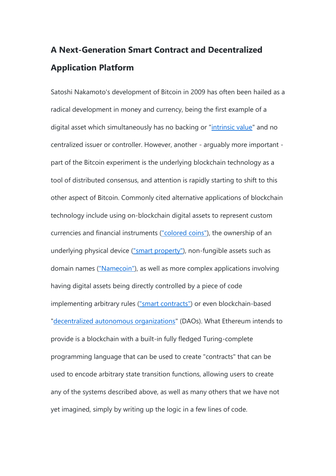# **A Next-Generation Smart Contract and Decentralized Application Platform**

Satoshi Nakamoto's development of Bitcoin in 2009 has often been hailed as a radical development in money and currency, being the first example of a digital asset which simultaneously has no backing or ["intrinsic value"](http://bitcoinmagazine.com/8640/an-exploration-of-intrinsic-value-what-it-is-why-bitcoin-doesnt-have-it-and-why-bitcoin-does-have-it/) and no centralized issuer or controller. However, another - arguably more important part of the Bitcoin experiment is the underlying blockchain technology as a tool of distributed consensus, and attention is rapidly starting to shift to this other aspect of Bitcoin. Commonly cited alternative applications of blockchain technology include using on-blockchain digital assets to represent custom currencies and financial instruments [\("colored coins"\)](https://docs.google.com/a/buterin.com/document/d/1AnkP_cVZTCMLIzw4DvsW6M8Q2JC0lIzrTLuoWu2z1BE/edit), the ownership of an underlying physical device [\("smart property"\)](https://en.bitcoin.it/wiki/Smart_Property), non-fungible assets such as domain names [\("Namecoin"\)](http://namecoin.org/), as well as more complex applications involving having digital assets being directly controlled by a piece of code implementing arbitrary rules [\("smart contracts"\)](http://szabo.best.vwh.net/smart_contracts_idea.html) or even blockchain-based ["decentralized autonomous organizations"](http://bitcoinmagazine.com/7050/bootstrapping-a-decentralized-autonomous-corporation-part-i/) (DAOs). What Ethereum intends to provide is a blockchain with a built-in fully fledged Turing-complete programming language that can be used to create "contracts" that can be used to encode arbitrary state transition functions, allowing users to create any of the systems described above, as well as many others that we have not yet imagined, simply by writing up the logic in a few lines of code.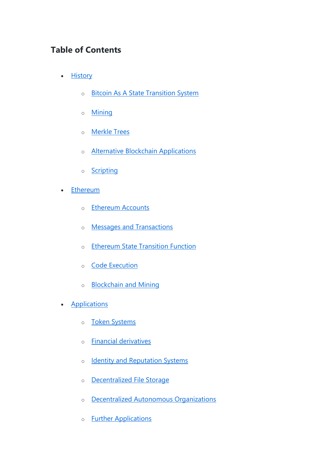## **Table of Contents**

- [History](https://github.com/ethereum/wiki/wiki/White-Paper#history)
	- o [Bitcoin As A State Transition System](https://github.com/ethereum/wiki/wiki/White-Paper#bitcoin-as-a-state-transition-system)
	- o [Mining](https://github.com/ethereum/wiki/wiki/White-Paper#mining)
	- o [Merkle Trees](https://github.com/ethereum/wiki/wiki/White-Paper#merkle-trees)
	- o [Alternative Blockchain Applications](https://github.com/ethereum/wiki/wiki/White-Paper#alternative-blockchain-applications)
	- o [Scripting](https://github.com/ethereum/wiki/wiki/White-Paper#scripting)
- [Ethereum](https://github.com/ethereum/wiki/wiki/White-Paper#ethereum)
	- o [Ethereum Accounts](https://github.com/ethereum/wiki/wiki/White-Paper#ethereum-accounts)
	- o [Messages and Transactions](https://github.com/ethereum/wiki/wiki/White-Paper#messages-and-transactions)
	- o [Ethereum State Transition Function](https://github.com/ethereum/wiki/wiki/White-Paper#ethereum-state-transition-function)
	- o [Code Execution](https://github.com/ethereum/wiki/wiki/White-Paper#code-execution)
	- o [Blockchain and Mining](https://github.com/ethereum/wiki/wiki/White-Paper#blockchain-and-mining)
- **[Applications](https://github.com/ethereum/wiki/wiki/White-Paper#applications)** 
	- o [Token Systems](https://github.com/ethereum/wiki/wiki/White-Paper#token-systems)
	- o [Financial derivatives](https://github.com/ethereum/wiki/wiki/White-Paper#financial-derivatives-and-stable-value-currencies)
	- o [Identity and Reputation Systems](https://github.com/ethereum/wiki/wiki/White-Paper#identity-and-reputation-systems)
	- o [Decentralized File Storage](https://github.com/ethereum/wiki/wiki/White-Paper#decentralized-file-storage)
	- o [Decentralized Autonomous Organizations](https://github.com/ethereum/wiki/wiki/White-Paper#decentralized-autonomous-organizations)
	- o [Further Applications](https://github.com/ethereum/wiki/wiki/White-Paper#further-applications)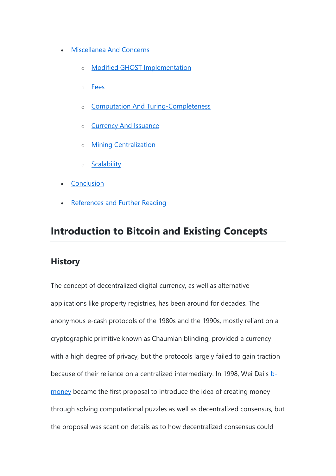- [Miscellanea And Concerns](https://github.com/ethereum/wiki/wiki/White-Paper#miscellanea-and-concerns)
	- o [Modified GHOST Implementation](https://github.com/ethereum/wiki/wiki/White-Paper#modified-ghost-implementation)
	- o [Fees](https://github.com/ethereum/wiki/wiki/White-Paper#fees)
	- o [Computation And Turing-Completeness](https://github.com/ethereum/wiki/wiki/White-Paper#computation-and-turing-completeness)
	- o [Currency And Issuance](https://github.com/ethereum/wiki/wiki/White-Paper#currency-and-issuance)
	- o [Mining Centralization](https://github.com/ethereum/wiki/wiki/White-Paper#mining-centralization)
	- o [Scalability](https://github.com/ethereum/wiki/wiki/White-Paper#scalability)
- **[Conclusion](https://github.com/ethereum/wiki/wiki/White-Paper#conclusion)**
- [References and Further Reading](https://github.com/ethereum/wiki/wiki/White-Paper#references-and-further-reading)

# **Introduction to Bitcoin and Existing Concepts**

#### **History**

The concept of decentralized digital currency, as well as alternative applications like property registries, has been around for decades. The anonymous e-cash protocols of the 1980s and the 1990s, mostly reliant on a cryptographic primitive known as Chaumian blinding, provided a currency with a high degree of privacy, but the protocols largely failed to gain traction because of their reliance on a centralized intermediary. In 1998, Wei Dai's [b](http://www.weidai.com/bmoney.txt)[money](http://www.weidai.com/bmoney.txt) became the first proposal to introduce the idea of creating money through solving computational puzzles as well as decentralized consensus, but the proposal was scant on details as to how decentralized consensus could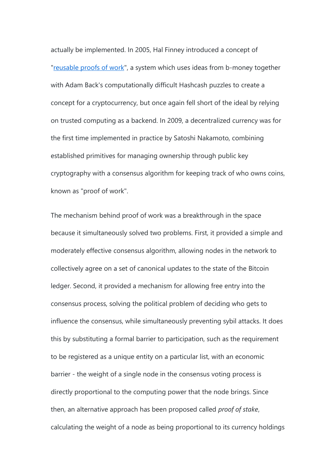actually be implemented. In 2005, Hal Finney introduced a concept of ["reusable proofs of work"](http://nakamotoinstitute.org/finney/rpow/), a system which uses ideas from b-money together with Adam Back's computationally difficult Hashcash puzzles to create a concept for a cryptocurrency, but once again fell short of the ideal by relying on trusted computing as a backend. In 2009, a decentralized currency was for the first time implemented in practice by Satoshi Nakamoto, combining established primitives for managing ownership through public key cryptography with a consensus algorithm for keeping track of who owns coins, known as "proof of work".

The mechanism behind proof of work was a breakthrough in the space because it simultaneously solved two problems. First, it provided a simple and moderately effective consensus algorithm, allowing nodes in the network to collectively agree on a set of canonical updates to the state of the Bitcoin ledger. Second, it provided a mechanism for allowing free entry into the consensus process, solving the political problem of deciding who gets to influence the consensus, while simultaneously preventing sybil attacks. It does this by substituting a formal barrier to participation, such as the requirement to be registered as a unique entity on a particular list, with an economic barrier - the weight of a single node in the consensus voting process is directly proportional to the computing power that the node brings. Since then, an alternative approach has been proposed called *proof of stake*, calculating the weight of a node as being proportional to its currency holdings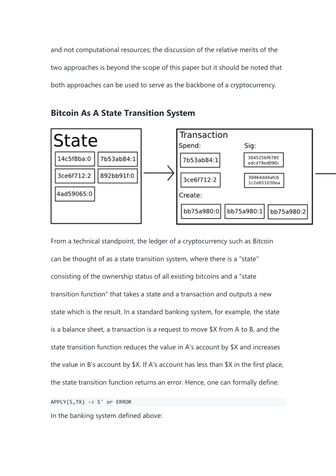and not computational resources; the discussion of the relative merits of the two approaches is beyond the scope of this paper but it should be noted that both approaches can be used to serve as the backbone of a cryptocurrency.



**Bitcoin As A State Transition System**

From a technical standpoint, the ledger of a cryptocurrency such as Bitcoin can be thought of as a state transition system, where there is a "state" consisting of the ownership status of all existing bitcoins and a "state transition function" that takes a state and a transaction and outputs a new state which is the result. In a standard banking system, for example, the state is a balance sheet, a transaction is a request to move \$X from A to B, and the state transition function reduces the value in A's account by \$X and increases the value in B's account by \$X. If A's account has less than \$X in the first place, the state transition function returns an error. Hence, one can formally define:

APPLY(S,TX) -> S' or ERROR

In the banking system defined above: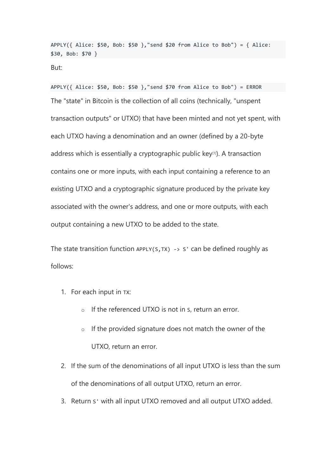APPLY({ Alice:  $$50$ , Bob:  $$50$  },"send  $$20$  from Alice to Bob") = { Alice: \$30, Bob: \$70 }

But:

APPLY({ Alice:  $$50$ , Bob:  $$50$  },"send  $$70$  from Alice to Bob") = ERROR The "state" in Bitcoin is the collection of all coins (technically, "unspent transaction outputs" or UTXO) that have been minted and not yet spent, with each UTXO having a denomination and an owner (defined by a 20-byte address which is essentially a cryptographic public key<sup>[1]</sup>). A transaction contains one or more inputs, with each input containing a reference to an existing UTXO and a cryptographic signature produced by the private key associated with the owner's address, and one or more outputs, with each output containing a new UTXO to be added to the state.

The state transition function APPLY(S, TX)  $\rightarrow$  S' can be defined roughly as follows:

- 1. For each input in TX:
	- o If the referenced UTXO is not in S, return an error.
	- $\circ$  If the provided signature does not match the owner of the UTXO, return an error.
- 2. If the sum of the denominations of all input UTXO is less than the sum of the denominations of all output UTXO, return an error.
- 3. Return S' with all input UTXO removed and all output UTXO added.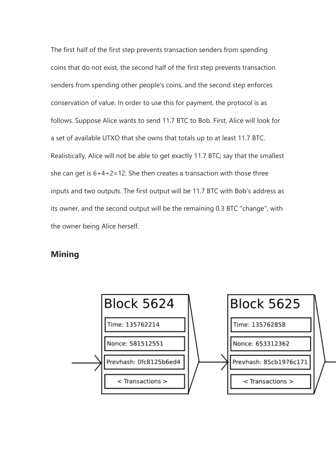The first half of the first step prevents transaction senders from spending coins that do not exist, the second half of the first step prevents transaction senders from spending other people's coins, and the second step enforces conservation of value. In order to use this for payment, the protocol is as follows. Suppose Alice wants to send 11.7 BTC to Bob. First, Alice will look for a set of available UTXO that she owns that totals up to at least 11.7 BTC. Realistically, Alice will not be able to get exactly 11.7 BTC; say that the smallest she can get is 6+4+2=12. She then creates a transaction with those three inputs and two outputs. The first output will be 11.7 BTC with Bob's address as its owner, and the second output will be the remaining 0.3 BTC "change", with the owner being Alice herself.

#### **Mining**

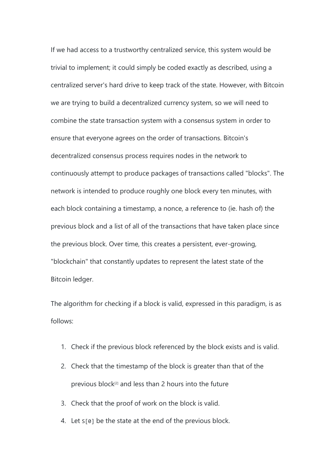If we had access to a trustworthy centralized service, this system would be trivial to implement; it could simply be coded exactly as described, using a centralized server's hard drive to keep track of the state. However, with Bitcoin we are trying to build a decentralized currency system, so we will need to combine the state transaction system with a consensus system in order to ensure that everyone agrees on the order of transactions. Bitcoin's decentralized consensus process requires nodes in the network to continuously attempt to produce packages of transactions called "blocks". The network is intended to produce roughly one block every ten minutes, with each block containing a timestamp, a nonce, a reference to (ie. hash of) the previous block and a list of all of the transactions that have taken place since the previous block. Over time, this creates a persistent, ever-growing, "blockchain" that constantly updates to represent the latest state of the Bitcoin ledger.

The algorithm for checking if a block is valid, expressed in this paradigm, is as follows:

- 1. Check if the previous block referenced by the block exists and is valid.
- 2. Check that the timestamp of the block is greater than that of the previous block<sup>[2]</sup> and less than 2 hours into the future
- 3. Check that the proof of work on the block is valid.
- 4. Let S[0] be the state at the end of the previous block.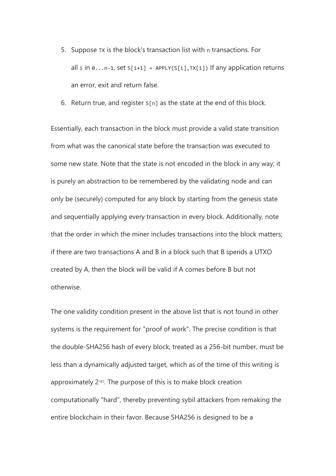- 5. Suppose TX is the block's transaction list with n transactions. For all i in  $0 \ldots n-1$ , set  $S[i+1] = APPLY(S[i], TX[i])$  If any application returns an error, exit and return false.
- 6. Return true, and register  $S[n]$  as the state at the end of this block.

Essentially, each transaction in the block must provide a valid state transition from what was the canonical state before the transaction was executed to some new state. Note that the state is not encoded in the block in any way; it is purely an abstraction to be remembered by the validating node and can only be (securely) computed for any block by starting from the genesis state and sequentially applying every transaction in every block. Additionally, note that the order in which the miner includes transactions into the block matters; if there are two transactions A and B in a block such that B spends a UTXO created by A, then the block will be valid if A comes before B but not otherwise.

The one validity condition present in the above list that is not found in other systems is the requirement for "proof of work". The precise condition is that the double-SHA256 hash of every block, treated as a 256-bit number, must be less than a dynamically adjusted target, which as of the time of this writing is approximately 2187. The purpose of this is to make block creation computationally "hard", thereby preventing sybil attackers from remaking the entire blockchain in their favor. Because SHA256 is designed to be a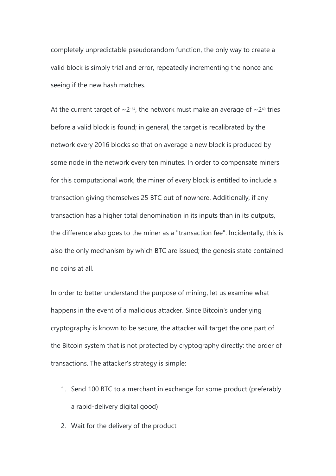completely unpredictable pseudorandom function, the only way to create a valid block is simply trial and error, repeatedly incrementing the nonce and seeing if the new hash matches.

At the current target of  $\sim$ 2<sup>187</sup>, the network must make an average of  $\sim$ 2<sup>69</sup> tries before a valid block is found; in general, the target is recalibrated by the network every 2016 blocks so that on average a new block is produced by some node in the network every ten minutes. In order to compensate miners for this computational work, the miner of every block is entitled to include a transaction giving themselves 25 BTC out of nowhere. Additionally, if any transaction has a higher total denomination in its inputs than in its outputs, the difference also goes to the miner as a "transaction fee". Incidentally, this is also the only mechanism by which BTC are issued; the genesis state contained no coins at all.

In order to better understand the purpose of mining, let us examine what happens in the event of a malicious attacker. Since Bitcoin's underlying cryptography is known to be secure, the attacker will target the one part of the Bitcoin system that is not protected by cryptography directly: the order of transactions. The attacker's strategy is simple:

- 1. Send 100 BTC to a merchant in exchange for some product (preferably a rapid-delivery digital good)
- 2. Wait for the delivery of the product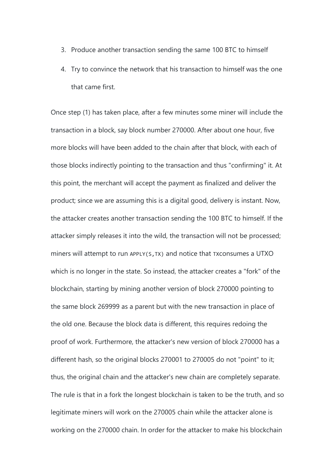- 3. Produce another transaction sending the same 100 BTC to himself
- 4. Try to convince the network that his transaction to himself was the one that came first.

Once step (1) has taken place, after a few minutes some miner will include the transaction in a block, say block number 270000. After about one hour, five more blocks will have been added to the chain after that block, with each of those blocks indirectly pointing to the transaction and thus "confirming" it. At this point, the merchant will accept the payment as finalized and deliver the product; since we are assuming this is a digital good, delivery is instant. Now, the attacker creates another transaction sending the 100 BTC to himself. If the attacker simply releases it into the wild, the transaction will not be processed; miners will attempt to run APPLY(S, TX) and notice that TXCONSumes a UTXO which is no longer in the state. So instead, the attacker creates a "fork" of the blockchain, starting by mining another version of block 270000 pointing to the same block 269999 as a parent but with the new transaction in place of the old one. Because the block data is different, this requires redoing the proof of work. Furthermore, the attacker's new version of block 270000 has a different hash, so the original blocks 270001 to 270005 do not "point" to it; thus, the original chain and the attacker's new chain are completely separate. The rule is that in a fork the longest blockchain is taken to be the truth, and so legitimate miners will work on the 270005 chain while the attacker alone is working on the 270000 chain. In order for the attacker to make his blockchain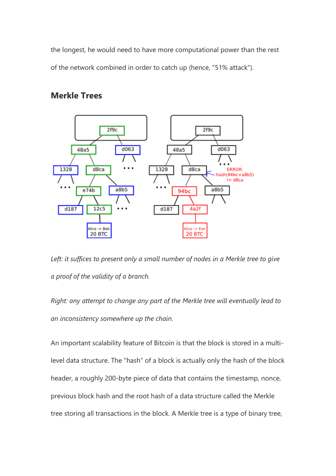the longest, he would need to have more computational power than the rest of the network combined in order to catch up (hence, "51% attack").



### **Merkle Trees**

*Left: it suffices to present only a small number of nodes in a Merkle tree to give a proof of the validity of a branch.*

*Right: any attempt to change any part of the Merkle tree will eventually lead to an inconsistency somewhere up the chain.*

An important scalability feature of Bitcoin is that the block is stored in a multilevel data structure. The "hash" of a block is actually only the hash of the block header, a roughly 200-byte piece of data that contains the timestamp, nonce, previous block hash and the root hash of a data structure called the Merkle tree storing all transactions in the block. A Merkle tree is a type of binary tree,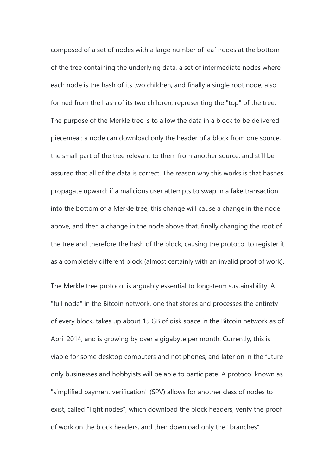composed of a set of nodes with a large number of leaf nodes at the bottom of the tree containing the underlying data, a set of intermediate nodes where each node is the hash of its two children, and finally a single root node, also formed from the hash of its two children, representing the "top" of the tree. The purpose of the Merkle tree is to allow the data in a block to be delivered piecemeal: a node can download only the header of a block from one source, the small part of the tree relevant to them from another source, and still be assured that all of the data is correct. The reason why this works is that hashes propagate upward: if a malicious user attempts to swap in a fake transaction into the bottom of a Merkle tree, this change will cause a change in the node above, and then a change in the node above that, finally changing the root of the tree and therefore the hash of the block, causing the protocol to register it as a completely different block (almost certainly with an invalid proof of work).

The Merkle tree protocol is arguably essential to long-term sustainability. A "full node" in the Bitcoin network, one that stores and processes the entirety of every block, takes up about 15 GB of disk space in the Bitcoin network as of April 2014, and is growing by over a gigabyte per month. Currently, this is viable for some desktop computers and not phones, and later on in the future only businesses and hobbyists will be able to participate. A protocol known as "simplified payment verification" (SPV) allows for another class of nodes to exist, called "light nodes", which download the block headers, verify the proof of work on the block headers, and then download only the "branches"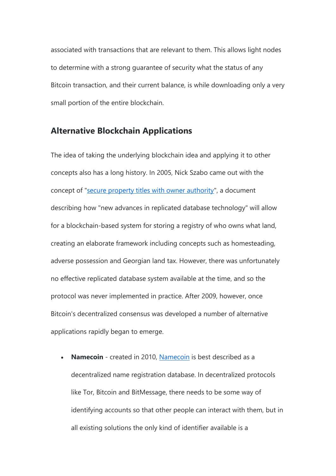associated with transactions that are relevant to them. This allows light nodes to determine with a strong guarantee of security what the status of any Bitcoin transaction, and their current balance, is while downloading only a very small portion of the entire blockchain.

#### **Alternative Blockchain Applications**

The idea of taking the underlying blockchain idea and applying it to other concepts also has a long history. In 2005, Nick Szabo came out with the concept of ["secure property titles with owner authority"](http://szabo.best.vwh.net/securetitle.html), a document describing how "new advances in replicated database technology" will allow for a blockchain-based system for storing a registry of who owns what land, creating an elaborate framework including concepts such as homesteading, adverse possession and Georgian land tax. However, there was unfortunately no effective replicated database system available at the time, and so the protocol was never implemented in practice. After 2009, however, once Bitcoin's decentralized consensus was developed a number of alternative applications rapidly began to emerge.

 **Namecoin** - created in 2010, [Namecoin](https://namecoin.org/) is best described as a decentralized name registration database. In decentralized protocols like Tor, Bitcoin and BitMessage, there needs to be some way of identifying accounts so that other people can interact with them, but in all existing solutions the only kind of identifier available is a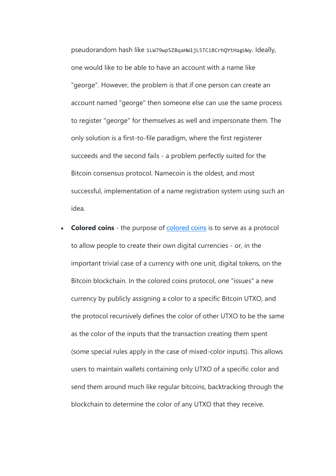pseudorandom hash like 1LW79wp5ZBqaHW1jL5TCiBCrhQYtHagUWy. Ideally, one would like to be able to have an account with a name like "george". However, the problem is that if one person can create an account named "george" then someone else can use the same process to register "george" for themselves as well and impersonate them. The only solution is a first-to-file paradigm, where the first registerer succeeds and the second fails - a problem perfectly suited for the Bitcoin consensus protocol. Namecoin is the oldest, and most successful, implementation of a name registration system using such an idea.

 **Colored coins** - the purpose of [colored coins](https://docs.google.com/a/buterin.com/document/d/1AnkP_cVZTCMLIzw4DvsW6M8Q2JC0lIzrTLuoWu2z1BE/edit) is to serve as a protocol to allow people to create their own digital currencies - or, in the important trivial case of a currency with one unit, digital tokens, on the Bitcoin blockchain. In the colored coins protocol, one "issues" a new currency by publicly assigning a color to a specific Bitcoin UTXO, and the protocol recursively defines the color of other UTXO to be the same as the color of the inputs that the transaction creating them spent (some special rules apply in the case of mixed-color inputs). This allows users to maintain wallets containing only UTXO of a specific color and send them around much like regular bitcoins, backtracking through the blockchain to determine the color of any UTXO that they receive.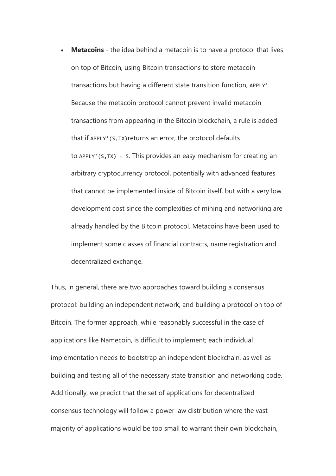**Metacoins** - the idea behind a metacoin is to have a protocol that lives on top of Bitcoin, using Bitcoin transactions to store metacoin transactions but having a different state transition function, APPLY'. Because the metacoin protocol cannot prevent invalid metacoin transactions from appearing in the Bitcoin blockchain, a rule is added that if APPLY'(S,TX)returns an error, the protocol defaults to APPLY'(S, TX) = S. This provides an easy mechanism for creating an arbitrary cryptocurrency protocol, potentially with advanced features that cannot be implemented inside of Bitcoin itself, but with a very low development cost since the complexities of mining and networking are already handled by the Bitcoin protocol. Metacoins have been used to implement some classes of financial contracts, name registration and decentralized exchange.

Thus, in general, there are two approaches toward building a consensus protocol: building an independent network, and building a protocol on top of Bitcoin. The former approach, while reasonably successful in the case of applications like Namecoin, is difficult to implement; each individual implementation needs to bootstrap an independent blockchain, as well as building and testing all of the necessary state transition and networking code. Additionally, we predict that the set of applications for decentralized consensus technology will follow a power law distribution where the vast majority of applications would be too small to warrant their own blockchain,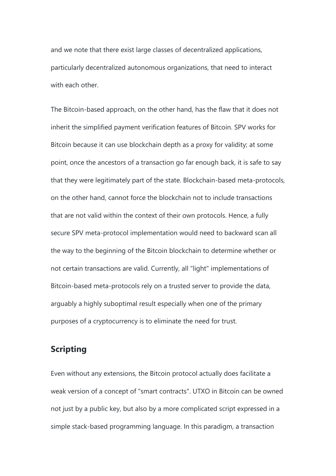and we note that there exist large classes of decentralized applications, particularly decentralized autonomous organizations, that need to interact with each other.

The Bitcoin-based approach, on the other hand, has the flaw that it does not inherit the simplified payment verification features of Bitcoin. SPV works for Bitcoin because it can use blockchain depth as a proxy for validity; at some point, once the ancestors of a transaction go far enough back, it is safe to say that they were legitimately part of the state. Blockchain-based meta-protocols, on the other hand, cannot force the blockchain not to include transactions that are not valid within the context of their own protocols. Hence, a fully secure SPV meta-protocol implementation would need to backward scan all the way to the beginning of the Bitcoin blockchain to determine whether or not certain transactions are valid. Currently, all "light" implementations of Bitcoin-based meta-protocols rely on a trusted server to provide the data, arguably a highly suboptimal result especially when one of the primary purposes of a cryptocurrency is to eliminate the need for trust.

### **Scripting**

Even without any extensions, the Bitcoin protocol actually does facilitate a weak version of a concept of "smart contracts". UTXO in Bitcoin can be owned not just by a public key, but also by a more complicated script expressed in a simple stack-based programming language. In this paradigm, a transaction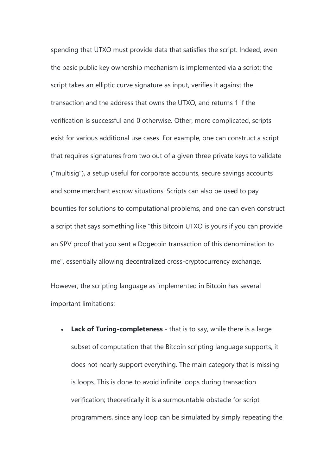spending that UTXO must provide data that satisfies the script. Indeed, even the basic public key ownership mechanism is implemented via a script: the script takes an elliptic curve signature as input, verifies it against the transaction and the address that owns the UTXO, and returns 1 if the verification is successful and 0 otherwise. Other, more complicated, scripts exist for various additional use cases. For example, one can construct a script that requires signatures from two out of a given three private keys to validate ("multisig"), a setup useful for corporate accounts, secure savings accounts and some merchant escrow situations. Scripts can also be used to pay bounties for solutions to computational problems, and one can even construct a script that says something like "this Bitcoin UTXO is yours if you can provide an SPV proof that you sent a Dogecoin transaction of this denomination to me", essentially allowing decentralized cross-cryptocurrency exchange.

However, the scripting language as implemented in Bitcoin has several important limitations:

 **Lack of Turing-completeness** - that is to say, while there is a large subset of computation that the Bitcoin scripting language supports, it does not nearly support everything. The main category that is missing is loops. This is done to avoid infinite loops during transaction verification; theoretically it is a surmountable obstacle for script programmers, since any loop can be simulated by simply repeating the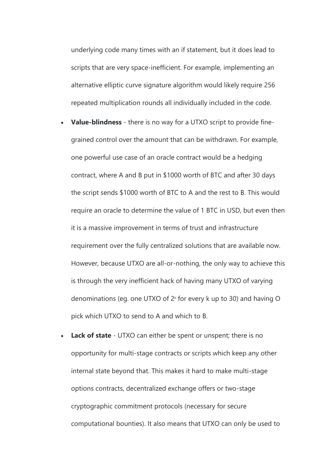underlying code many times with an if statement, but it does lead to scripts that are very space-inefficient. For example, implementing an alternative elliptic curve signature algorithm would likely require 256 repeated multiplication rounds all individually included in the code.

- **Value-blindness** there is no way for a UTXO script to provide finegrained control over the amount that can be withdrawn. For example, one powerful use case of an oracle contract would be a hedging contract, where A and B put in \$1000 worth of BTC and after 30 days the script sends \$1000 worth of BTC to A and the rest to B. This would require an oracle to determine the value of 1 BTC in USD, but even then it is a massive improvement in terms of trust and infrastructure requirement over the fully centralized solutions that are available now. However, because UTXO are all-or-nothing, the only way to achieve this is through the very inefficient hack of having many UTXO of varying denominations (eg. one UTXO of  $2<sup>k</sup>$  for every k up to 30) and having O pick which UTXO to send to A and which to B.
- **Lack of state** UTXO can either be spent or unspent; there is no opportunity for multi-stage contracts or scripts which keep any other internal state beyond that. This makes it hard to make multi-stage options contracts, decentralized exchange offers or two-stage cryptographic commitment protocols (necessary for secure computational bounties). It also means that UTXO can only be used to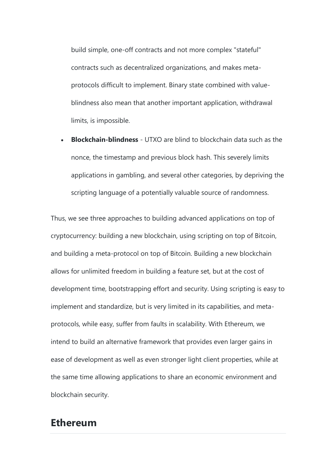build simple, one-off contracts and not more complex "stateful" contracts such as decentralized organizations, and makes metaprotocols difficult to implement. Binary state combined with valueblindness also mean that another important application, withdrawal limits, is impossible.

 **Blockchain-blindness** - UTXO are blind to blockchain data such as the nonce, the timestamp and previous block hash. This severely limits applications in gambling, and several other categories, by depriving the scripting language of a potentially valuable source of randomness.

Thus, we see three approaches to building advanced applications on top of cryptocurrency: building a new blockchain, using scripting on top of Bitcoin, and building a meta-protocol on top of Bitcoin. Building a new blockchain allows for unlimited freedom in building a feature set, but at the cost of development time, bootstrapping effort and security. Using scripting is easy to implement and standardize, but is very limited in its capabilities, and metaprotocols, while easy, suffer from faults in scalability. With Ethereum, we intend to build an alternative framework that provides even larger gains in ease of development as well as even stronger light client properties, while at the same time allowing applications to share an economic environment and blockchain security.

## **Ethereum**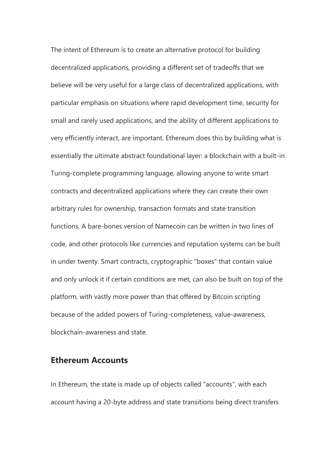The intent of Ethereum is to create an alternative protocol for building decentralized applications, providing a different set of tradeoffs that we believe will be very useful for a large class of decentralized applications, with particular emphasis on situations where rapid development time, security for small and rarely used applications, and the ability of different applications to very efficiently interact, are important. Ethereum does this by building what is essentially the ultimate abstract foundational layer: a blockchain with a built-in Turing-complete programming language, allowing anyone to write smart contracts and decentralized applications where they can create their own arbitrary rules for ownership, transaction formats and state transition functions. A bare-bones version of Namecoin can be written in two lines of code, and other protocols like currencies and reputation systems can be built in under twenty. Smart contracts, cryptographic "boxes" that contain value and only unlock it if certain conditions are met, can also be built on top of the platform, with vastly more power than that offered by Bitcoin scripting because of the added powers of Turing-completeness, value-awareness, blockchain-awareness and state.

#### **Ethereum Accounts**

In Ethereum, the state is made up of objects called "accounts", with each account having a 20-byte address and state transitions being direct transfers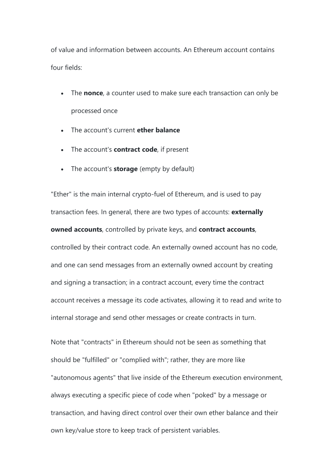of value and information between accounts. An Ethereum account contains four fields:

- The **nonce**, a counter used to make sure each transaction can only be processed once
- The account's current **ether balance**
- The account's **contract code**, if present
- The account's **storage** (empty by default)

"Ether" is the main internal crypto-fuel of Ethereum, and is used to pay transaction fees. In general, there are two types of accounts: **externally owned accounts**, controlled by private keys, and **contract accounts**, controlled by their contract code. An externally owned account has no code, and one can send messages from an externally owned account by creating and signing a transaction; in a contract account, every time the contract account receives a message its code activates, allowing it to read and write to internal storage and send other messages or create contracts in turn.

Note that "contracts" in Ethereum should not be seen as something that should be "fulfilled" or "complied with"; rather, they are more like "autonomous agents" that live inside of the Ethereum execution environment, always executing a specific piece of code when "poked" by a message or transaction, and having direct control over their own ether balance and their own key/value store to keep track of persistent variables.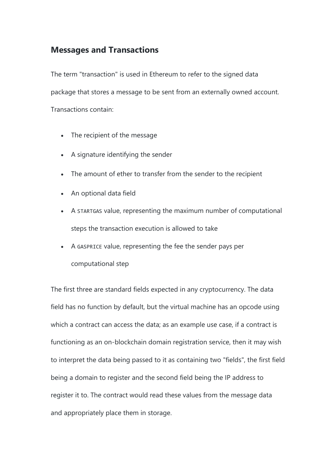### **Messages and Transactions**

The term "transaction" is used in Ethereum to refer to the signed data package that stores a message to be sent from an externally owned account. Transactions contain:

- The recipient of the message
- A signature identifying the sender
- The amount of ether to transfer from the sender to the recipient
- An optional data field
- A STARTGAS value, representing the maximum number of computational steps the transaction execution is allowed to take
- A GASPRICE value, representing the fee the sender pays per computational step

The first three are standard fields expected in any cryptocurrency. The data field has no function by default, but the virtual machine has an opcode using which a contract can access the data; as an example use case, if a contract is functioning as an on-blockchain domain registration service, then it may wish to interpret the data being passed to it as containing two "fields", the first field being a domain to register and the second field being the IP address to register it to. The contract would read these values from the message data and appropriately place them in storage.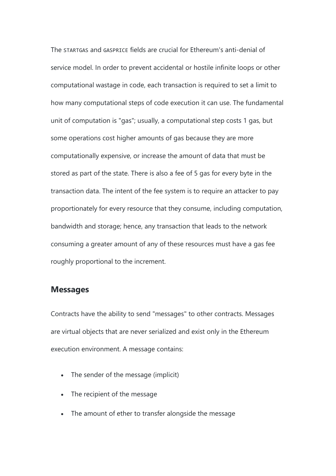The STARTGAS and GASPRICE fields are crucial for Ethereum's anti-denial of service model. In order to prevent accidental or hostile infinite loops or other computational wastage in code, each transaction is required to set a limit to how many computational steps of code execution it can use. The fundamental unit of computation is "gas"; usually, a computational step costs 1 gas, but some operations cost higher amounts of gas because they are more computationally expensive, or increase the amount of data that must be stored as part of the state. There is also a fee of 5 gas for every byte in the transaction data. The intent of the fee system is to require an attacker to pay proportionately for every resource that they consume, including computation, bandwidth and storage; hence, any transaction that leads to the network consuming a greater amount of any of these resources must have a gas fee roughly proportional to the increment.

#### **Messages**

Contracts have the ability to send "messages" to other contracts. Messages are virtual objects that are never serialized and exist only in the Ethereum execution environment. A message contains:

- The sender of the message (implicit)
- The recipient of the message
- The amount of ether to transfer alongside the message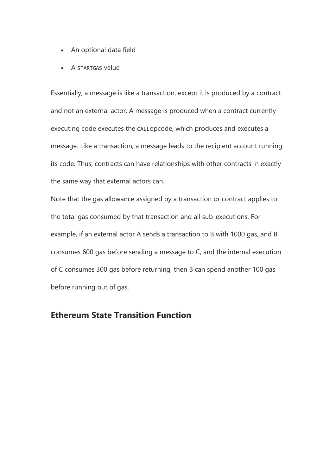- An optional data field
- A STARTGAS value

Essentially, a message is like a transaction, except it is produced by a contract and not an external actor. A message is produced when a contract currently executing code executes the CALLopcode, which produces and executes a message. Like a transaction, a message leads to the recipient account running its code. Thus, contracts can have relationships with other contracts in exactly the same way that external actors can.

Note that the gas allowance assigned by a transaction or contract applies to the total gas consumed by that transaction and all sub-executions. For example, if an external actor A sends a transaction to B with 1000 gas, and B consumes 600 gas before sending a message to C, and the internal execution of C consumes 300 gas before returning, then B can spend another 100 gas before running out of gas.

#### **Ethereum State Transition Function**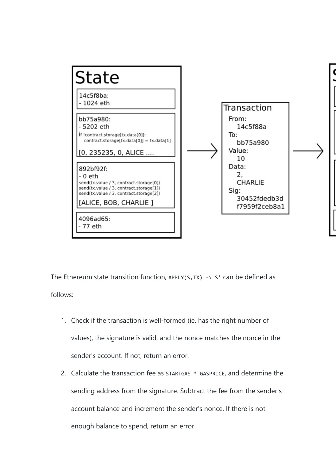

The Ethereum state transition function, APPLY(S, TX) -> S' can be defined as follows:

- 1. Check if the transaction is well-formed (ie. has the right number of values), the signature is valid, and the nonce matches the nonce in the sender's account. If not, return an error.
- 2. Calculate the transaction fee as STARTGAS \* GASPRICE, and determine the sending address from the signature. Subtract the fee from the sender's account balance and increment the sender's nonce. If there is not enough balance to spend, return an error.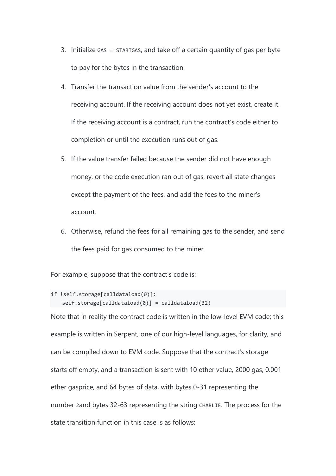- 3. Initialize GAS = STARTGAS, and take off a certain quantity of gas per byte to pay for the bytes in the transaction.
- 4. Transfer the transaction value from the sender's account to the receiving account. If the receiving account does not yet exist, create it. If the receiving account is a contract, run the contract's code either to completion or until the execution runs out of gas.
- 5. If the value transfer failed because the sender did not have enough money, or the code execution ran out of gas, revert all state changes except the payment of the fees, and add the fees to the miner's account.
- 6. Otherwise, refund the fees for all remaining gas to the sender, and send the fees paid for gas consumed to the miner.

For example, suppose that the contract's code is:

```
if !self.storage[calldataload(0)]:
   self. storage[calldataload(0)] = calldataload(32)
```
Note that in reality the contract code is written in the low-level EVM code; this example is written in Serpent, one of our high-level languages, for clarity, and can be compiled down to EVM code. Suppose that the contract's storage starts off empty, and a transaction is sent with 10 ether value, 2000 gas, 0.001 ether gasprice, and 64 bytes of data, with bytes 0-31 representing the number 2and bytes 32-63 representing the string CHARLIE. The process for the state transition function in this case is as follows: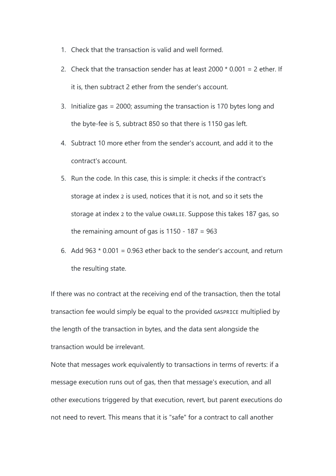- 1. Check that the transaction is valid and well formed.
- 2. Check that the transaction sender has at least  $2000 * 0.001 = 2$  ether. If it is, then subtract 2 ether from the sender's account.
- 3. Initialize gas = 2000; assuming the transaction is 170 bytes long and the byte-fee is 5, subtract 850 so that there is 1150 gas left.
- 4. Subtract 10 more ether from the sender's account, and add it to the contract's account.
- 5. Run the code. In this case, this is simple: it checks if the contract's storage at index 2 is used, notices that it is not, and so it sets the storage at index 2 to the value CHARLIE. Suppose this takes 187 gas, so the remaining amount of gas is  $1150 - 187 = 963$
- 6. Add 963  $*$  0.001 = 0.963 ether back to the sender's account, and return the resulting state.

If there was no contract at the receiving end of the transaction, then the total transaction fee would simply be equal to the provided GASPRICE multiplied by the length of the transaction in bytes, and the data sent alongside the transaction would be irrelevant.

Note that messages work equivalently to transactions in terms of reverts: if a message execution runs out of gas, then that message's execution, and all other executions triggered by that execution, revert, but parent executions do not need to revert. This means that it is "safe" for a contract to call another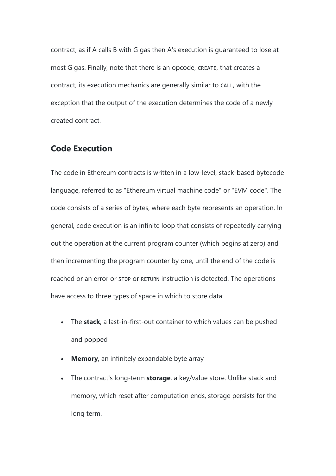contract, as if A calls B with G gas then A's execution is guaranteed to lose at most G gas. Finally, note that there is an opcode, CREATE, that creates a contract; its execution mechanics are generally similar to CALL, with the exception that the output of the execution determines the code of a newly created contract.

#### **Code Execution**

The code in Ethereum contracts is written in a low-level, stack-based bytecode language, referred to as "Ethereum virtual machine code" or "EVM code". The code consists of a series of bytes, where each byte represents an operation. In general, code execution is an infinite loop that consists of repeatedly carrying out the operation at the current program counter (which begins at zero) and then incrementing the program counter by one, until the end of the code is reached or an error or STOP or RETURN instruction is detected. The operations have access to three types of space in which to store data:

- The **stack**, a last-in-first-out container to which values can be pushed and popped
- **Memory**, an infinitely expandable byte array
- The contract's long-term **storage**, a key/value store. Unlike stack and memory, which reset after computation ends, storage persists for the long term.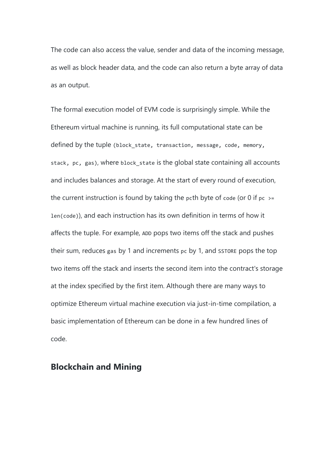The code can also access the value, sender and data of the incoming message, as well as block header data, and the code can also return a byte array of data as an output.

The formal execution model of EVM code is surprisingly simple. While the Ethereum virtual machine is running, its full computational state can be defined by the tuple (block\_state, transaction, message, code, memory, stack, pc, gas), where block state is the global state containing all accounts and includes balances and storage. At the start of every round of execution, the current instruction is found by taking the pcth byte of code (or 0 if  $pc$  >= len(code)), and each instruction has its own definition in terms of how it affects the tuple. For example, ADD pops two items off the stack and pushes their sum, reduces gas by 1 and increments pc by 1, and SSTORE pops the top two items off the stack and inserts the second item into the contract's storage at the index specified by the first item. Although there are many ways to optimize Ethereum virtual machine execution via just-in-time compilation, a basic implementation of Ethereum can be done in a few hundred lines of code.

#### **Blockchain and Mining**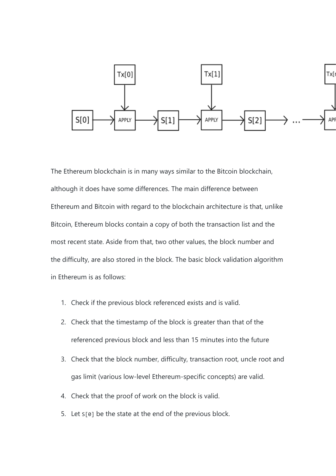

The Ethereum blockchain is in many ways similar to the Bitcoin blockchain, although it does have some differences. The main difference between Ethereum and Bitcoin with regard to the blockchain architecture is that, unlike Bitcoin, Ethereum blocks contain a copy of both the transaction list and the most recent state. Aside from that, two other values, the block number and the difficulty, are also stored in the block. The basic block validation algorithm in Ethereum is as follows:

- 1. Check if the previous block referenced exists and is valid.
- 2. Check that the timestamp of the block is greater than that of the referenced previous block and less than 15 minutes into the future
- 3. Check that the block number, difficulty, transaction root, uncle root and gas limit (various low-level Ethereum-specific concepts) are valid.
- 4. Check that the proof of work on the block is valid.
- 5. Let S[0] be the state at the end of the previous block.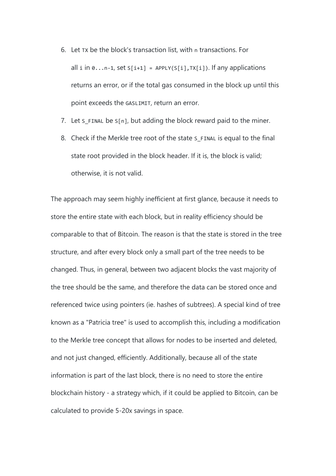- 6. Let TX be the block's transaction list, with n transactions. For all i in  $0 \ldots n-1$ , set  $S[i+1] = APPLY(S[i], TX[i])$ . If any applications returns an error, or if the total gas consumed in the block up until this point exceeds the GASLIMIT, return an error.
- 7. Let s FINAL be  $S[n]$ , but adding the block reward paid to the miner.
- 8. Check if the Merkle tree root of the state s FINAL is equal to the final state root provided in the block header. If it is, the block is valid; otherwise, it is not valid.

The approach may seem highly inefficient at first glance, because it needs to store the entire state with each block, but in reality efficiency should be comparable to that of Bitcoin. The reason is that the state is stored in the tree structure, and after every block only a small part of the tree needs to be changed. Thus, in general, between two adjacent blocks the vast majority of the tree should be the same, and therefore the data can be stored once and referenced twice using pointers (ie. hashes of subtrees). A special kind of tree known as a "Patricia tree" is used to accomplish this, including a modification to the Merkle tree concept that allows for nodes to be inserted and deleted, and not just changed, efficiently. Additionally, because all of the state information is part of the last block, there is no need to store the entire blockchain history - a strategy which, if it could be applied to Bitcoin, can be calculated to provide 5-20x savings in space.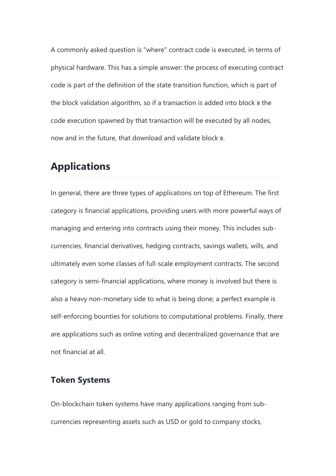A commonly asked question is "where" contract code is executed, in terms of physical hardware. This has a simple answer: the process of executing contract code is part of the definition of the state transition function, which is part of the block validation algorithm, so if a transaction is added into block B the code execution spawned by that transaction will be executed by all nodes, now and in the future, that download and validate block B.

# **Applications**

In general, there are three types of applications on top of Ethereum. The first category is financial applications, providing users with more powerful ways of managing and entering into contracts using their money. This includes subcurrencies, financial derivatives, hedging contracts, savings wallets, wills, and ultimately even some classes of full-scale employment contracts. The second category is semi-financial applications, where money is involved but there is also a heavy non-monetary side to what is being done; a perfect example is self-enforcing bounties for solutions to computational problems. Finally, there are applications such as online voting and decentralized governance that are not financial at all.

#### **Token Systems**

On-blockchain token systems have many applications ranging from subcurrencies representing assets such as USD or gold to company stocks,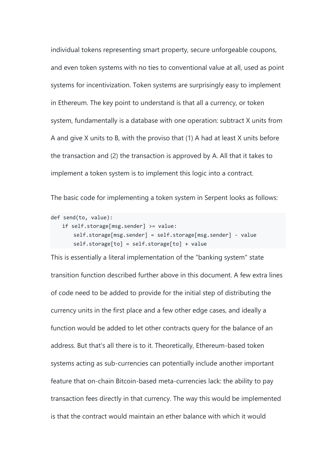individual tokens representing smart property, secure unforgeable coupons, and even token systems with no ties to conventional value at all, used as point systems for incentivization. Token systems are surprisingly easy to implement in Ethereum. The key point to understand is that all a currency, or token system, fundamentally is a database with one operation: subtract X units from A and give X units to B, with the proviso that (1) A had at least X units before the transaction and (2) the transaction is approved by A. All that it takes to implement a token system is to implement this logic into a contract.

The basic code for implementing a token system in Serpent looks as follows:

```
def send(to, value):
    if self.storage[msg.sender] >= value:
        self.storage[msg.sender] = self.storage[msg.sender] - value
        self.storage[to] = self.storage[to] + value
```
This is essentially a literal implementation of the "banking system" state transition function described further above in this document. A few extra lines of code need to be added to provide for the initial step of distributing the currency units in the first place and a few other edge cases, and ideally a function would be added to let other contracts query for the balance of an address. But that's all there is to it. Theoretically, Ethereum-based token systems acting as sub-currencies can potentially include another important feature that on-chain Bitcoin-based meta-currencies lack: the ability to pay transaction fees directly in that currency. The way this would be implemented is that the contract would maintain an ether balance with which it would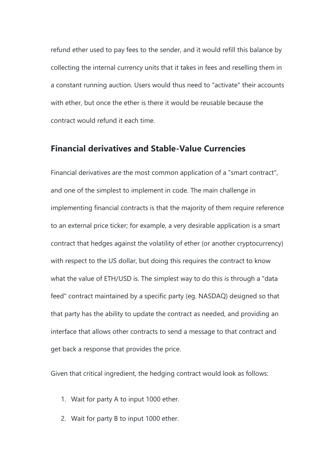refund ether used to pay fees to the sender, and it would refill this balance by collecting the internal currency units that it takes in fees and reselling them in a constant running auction. Users would thus need to "activate" their accounts with ether, but once the ether is there it would be reusable because the contract would refund it each time.

#### **Financial derivatives and Stable-Value Currencies**

Financial derivatives are the most common application of a "smart contract", and one of the simplest to implement in code. The main challenge in implementing financial contracts is that the majority of them require reference to an external price ticker; for example, a very desirable application is a smart contract that hedges against the volatility of ether (or another cryptocurrency) with respect to the US dollar, but doing this requires the contract to know what the value of ETH/USD is. The simplest way to do this is through a "data feed" contract maintained by a specific party (eg. NASDAQ) designed so that that party has the ability to update the contract as needed, and providing an interface that allows other contracts to send a message to that contract and get back a response that provides the price.

Given that critical ingredient, the hedging contract would look as follows:

- 1. Wait for party A to input 1000 ether.
- 2. Wait for party B to input 1000 ether.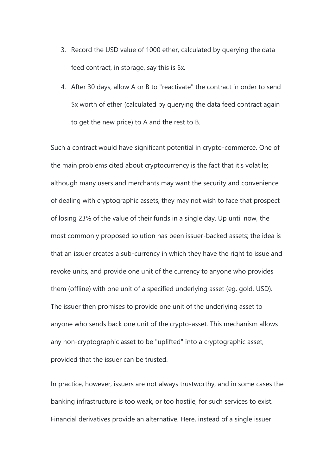- 3. Record the USD value of 1000 ether, calculated by querying the data feed contract, in storage, say this is \$x.
- 4. After 30 days, allow A or B to "reactivate" the contract in order to send \$x worth of ether (calculated by querying the data feed contract again to get the new price) to A and the rest to B.

Such a contract would have significant potential in crypto-commerce. One of the main problems cited about cryptocurrency is the fact that it's volatile; although many users and merchants may want the security and convenience of dealing with cryptographic assets, they may not wish to face that prospect of losing 23% of the value of their funds in a single day. Up until now, the most commonly proposed solution has been issuer-backed assets; the idea is that an issuer creates a sub-currency in which they have the right to issue and revoke units, and provide one unit of the currency to anyone who provides them (offline) with one unit of a specified underlying asset (eg. gold, USD). The issuer then promises to provide one unit of the underlying asset to anyone who sends back one unit of the crypto-asset. This mechanism allows any non-cryptographic asset to be "uplifted" into a cryptographic asset, provided that the issuer can be trusted.

In practice, however, issuers are not always trustworthy, and in some cases the banking infrastructure is too weak, or too hostile, for such services to exist. Financial derivatives provide an alternative. Here, instead of a single issuer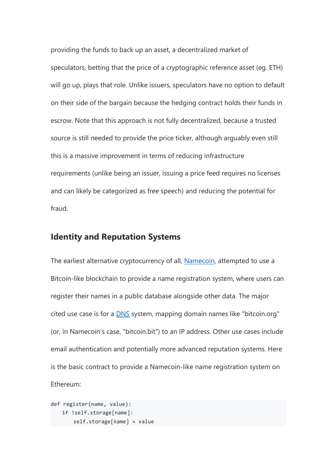providing the funds to back up an asset, a decentralized market of speculators, betting that the price of a cryptographic reference asset (eg. ETH) will go up, plays that role. Unlike issuers, speculators have no option to default on their side of the bargain because the hedging contract holds their funds in escrow. Note that this approach is not fully decentralized, because a trusted source is still needed to provide the price ticker, although arguably even still this is a massive improvement in terms of reducing infrastructure requirements (unlike being an issuer, issuing a price feed requires no licenses and can likely be categorized as free speech) and reducing the potential for fraud.

#### **Identity and Reputation Systems**

The earliest alternative cryptocurrency of all, [Namecoin,](http://namecoin.org/) attempted to use a Bitcoin-like blockchain to provide a name registration system, where users can register their names in a public database alongside other data. The major cited use case is for a [DNS](http://en.wikipedia.org/wiki/Domain_Name_System) system, mapping domain names like "bitcoin.org" (or, in Namecoin's case, "bitcoin.bit") to an IP address. Other use cases include email authentication and potentially more advanced reputation systems. Here is the basic contract to provide a Namecoin-like name registration system on Ethereum:

```
def register(name, value):
    if !self.storage[name]:
        self.storage[name] = value
```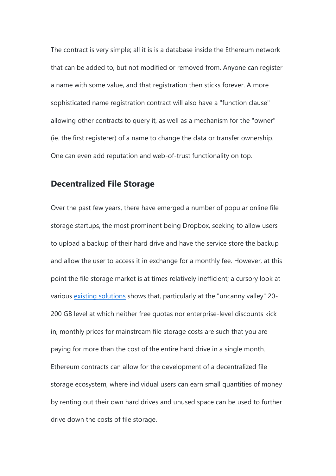The contract is very simple; all it is is a database inside the Ethereum network that can be added to, but not modified or removed from. Anyone can register a name with some value, and that registration then sticks forever. A more sophisticated name registration contract will also have a "function clause" allowing other contracts to query it, as well as a mechanism for the "owner" (ie. the first registerer) of a name to change the data or transfer ownership. One can even add reputation and web-of-trust functionality on top.

#### **Decentralized File Storage**

Over the past few years, there have emerged a number of popular online file storage startups, the most prominent being Dropbox, seeking to allow users to upload a backup of their hard drive and have the service store the backup and allow the user to access it in exchange for a monthly fee. However, at this point the file storage market is at times relatively inefficient; a cursory look at various [existing solutions](http://online-storage-service-review.toptenreviews.com/) shows that, particularly at the "uncanny valley" 20- 200 GB level at which neither free quotas nor enterprise-level discounts kick in, monthly prices for mainstream file storage costs are such that you are paying for more than the cost of the entire hard drive in a single month. Ethereum contracts can allow for the development of a decentralized file storage ecosystem, where individual users can earn small quantities of money by renting out their own hard drives and unused space can be used to further drive down the costs of file storage.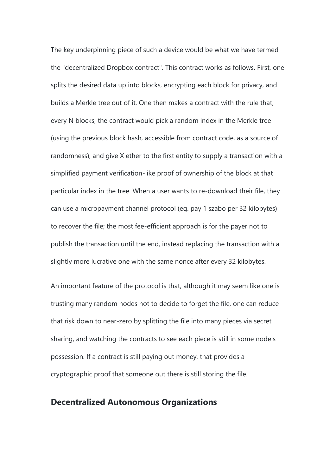The key underpinning piece of such a device would be what we have termed the "decentralized Dropbox contract". This contract works as follows. First, one splits the desired data up into blocks, encrypting each block for privacy, and builds a Merkle tree out of it. One then makes a contract with the rule that, every N blocks, the contract would pick a random index in the Merkle tree (using the previous block hash, accessible from contract code, as a source of randomness), and give X ether to the first entity to supply a transaction with a simplified payment verification-like proof of ownership of the block at that particular index in the tree. When a user wants to re-download their file, they can use a micropayment channel protocol (eg. pay 1 szabo per 32 kilobytes) to recover the file; the most fee-efficient approach is for the payer not to publish the transaction until the end, instead replacing the transaction with a slightly more lucrative one with the same nonce after every 32 kilobytes.

An important feature of the protocol is that, although it may seem like one is trusting many random nodes not to decide to forget the file, one can reduce that risk down to near-zero by splitting the file into many pieces via secret sharing, and watching the contracts to see each piece is still in some node's possession. If a contract is still paying out money, that provides a cryptographic proof that someone out there is still storing the file.

#### **Decentralized Autonomous Organizations**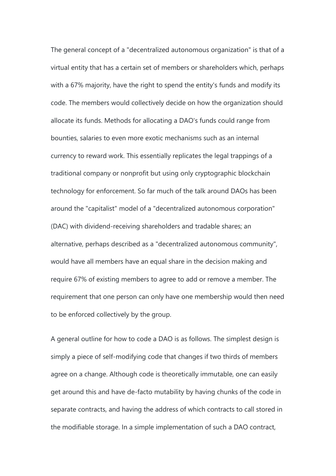The general concept of a "decentralized autonomous organization" is that of a virtual entity that has a certain set of members or shareholders which, perhaps with a 67% majority, have the right to spend the entity's funds and modify its code. The members would collectively decide on how the organization should allocate its funds. Methods for allocating a DAO's funds could range from bounties, salaries to even more exotic mechanisms such as an internal currency to reward work. This essentially replicates the legal trappings of a traditional company or nonprofit but using only cryptographic blockchain technology for enforcement. So far much of the talk around DAOs has been around the "capitalist" model of a "decentralized autonomous corporation" (DAC) with dividend-receiving shareholders and tradable shares; an alternative, perhaps described as a "decentralized autonomous community", would have all members have an equal share in the decision making and require 67% of existing members to agree to add or remove a member. The requirement that one person can only have one membership would then need to be enforced collectively by the group.

A general outline for how to code a DAO is as follows. The simplest design is simply a piece of self-modifying code that changes if two thirds of members agree on a change. Although code is theoretically immutable, one can easily get around this and have de-facto mutability by having chunks of the code in separate contracts, and having the address of which contracts to call stored in the modifiable storage. In a simple implementation of such a DAO contract,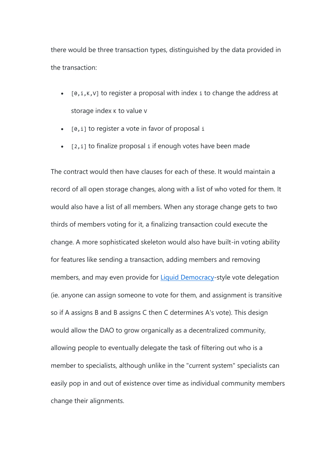there would be three transaction types, distinguished by the data provided in the transaction:

- $[0, i, K, V]$  to register a proposal with index i to change the address at storage index K to value V
- $[0, i]$  to register a vote in favor of proposal i
- $\bullet$  [2, i] to finalize proposal i if enough votes have been made

The contract would then have clauses for each of these. It would maintain a record of all open storage changes, along with a list of who voted for them. It would also have a list of all members. When any storage change gets to two thirds of members voting for it, a finalizing transaction could execute the change. A more sophisticated skeleton would also have built-in voting ability for features like sending a transaction, adding members and removing members, and may even provide for **[Liquid Democracy-](http://en.wikipedia.org/wiki/Delegative_democracy)style vote delegation** (ie. anyone can assign someone to vote for them, and assignment is transitive so if A assigns B and B assigns C then C determines A's vote). This design would allow the DAO to grow organically as a decentralized community, allowing people to eventually delegate the task of filtering out who is a member to specialists, although unlike in the "current system" specialists can easily pop in and out of existence over time as individual community members change their alignments.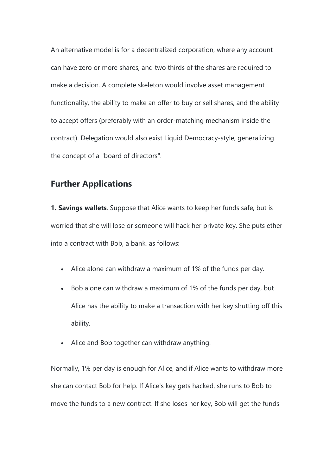An alternative model is for a decentralized corporation, where any account can have zero or more shares, and two thirds of the shares are required to make a decision. A complete skeleton would involve asset management functionality, the ability to make an offer to buy or sell shares, and the ability to accept offers (preferably with an order-matching mechanism inside the contract). Delegation would also exist Liquid Democracy-style, generalizing the concept of a "board of directors".

### **Further Applications**

**1. Savings wallets**. Suppose that Alice wants to keep her funds safe, but is worried that she will lose or someone will hack her private key. She puts ether into a contract with Bob, a bank, as follows:

- Alice alone can withdraw a maximum of 1% of the funds per day.
- Bob alone can withdraw a maximum of 1% of the funds per day, but Alice has the ability to make a transaction with her key shutting off this ability.
- Alice and Bob together can withdraw anything.

Normally, 1% per day is enough for Alice, and if Alice wants to withdraw more she can contact Bob for help. If Alice's key gets hacked, she runs to Bob to move the funds to a new contract. If she loses her key, Bob will get the funds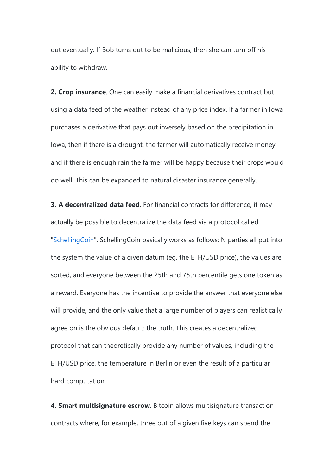out eventually. If Bob turns out to be malicious, then she can turn off his ability to withdraw.

**2. Crop insurance**. One can easily make a financial derivatives contract but using a data feed of the weather instead of any price index. If a farmer in Iowa purchases a derivative that pays out inversely based on the precipitation in Iowa, then if there is a drought, the farmer will automatically receive money and if there is enough rain the farmer will be happy because their crops would do well. This can be expanded to natural disaster insurance generally.

**3. A decentralized data feed**. For financial contracts for difference, it may actually be possible to decentralize the data feed via a protocol called ["SchellingCoin"](http://blog.ethereum.org/2014/03/28/schellingcoin-a-minimal-trust-universal-data-feed/). SchellingCoin basically works as follows: N parties all put into the system the value of a given datum (eg. the ETH/USD price), the values are sorted, and everyone between the 25th and 75th percentile gets one token as a reward. Everyone has the incentive to provide the answer that everyone else will provide, and the only value that a large number of players can realistically agree on is the obvious default: the truth. This creates a decentralized protocol that can theoretically provide any number of values, including the ETH/USD price, the temperature in Berlin or even the result of a particular hard computation.

**4. Smart multisignature escrow**. Bitcoin allows multisignature transaction contracts where, for example, three out of a given five keys can spend the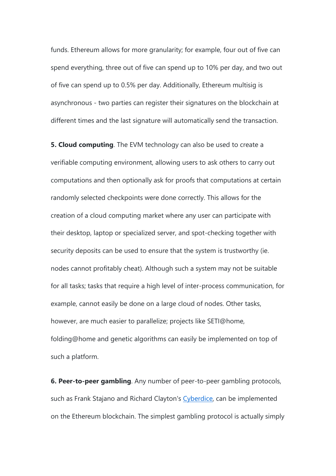funds. Ethereum allows for more granularity; for example, four out of five can spend everything, three out of five can spend up to 10% per day, and two out of five can spend up to 0.5% per day. Additionally, Ethereum multisig is asynchronous - two parties can register their signatures on the blockchain at different times and the last signature will automatically send the transaction.

**5. Cloud computing**. The EVM technology can also be used to create a verifiable computing environment, allowing users to ask others to carry out computations and then optionally ask for proofs that computations at certain randomly selected checkpoints were done correctly. This allows for the creation of a cloud computing market where any user can participate with their desktop, laptop or specialized server, and spot-checking together with security deposits can be used to ensure that the system is trustworthy (ie. nodes cannot profitably cheat). Although such a system may not be suitable for all tasks; tasks that require a high level of inter-process communication, for example, cannot easily be done on a large cloud of nodes. Other tasks, however, are much easier to parallelize; projects like SETI@home, folding@home and genetic algorithms can easily be implemented on top of such a platform.

**6. Peer-to-peer gambling**. Any number of peer-to-peer gambling protocols, such as Frank Stajano and Richard Clayton's [Cyberdice,](http://www.cl.cam.ac.uk/~fms27/papers/2008-StajanoCla-cyberdice.pdf) can be implemented on the Ethereum blockchain. The simplest gambling protocol is actually simply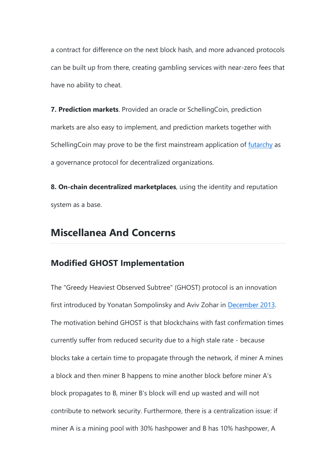a contract for difference on the next block hash, and more advanced protocols can be built up from there, creating gambling services with near-zero fees that have no ability to cheat.

**7. Prediction markets**. Provided an oracle or SchellingCoin, prediction markets are also easy to implement, and prediction markets together with SchellingCoin may prove to be the first mainstream application of [futarchy](http://hanson.gmu.edu/futarchy.html) as a governance protocol for decentralized organizations.

**8. On-chain decentralized marketplaces**, using the identity and reputation system as a base.

## **Miscellanea And Concerns**

### **Modified GHOST Implementation**

The "Greedy Heaviest Observed Subtree" (GHOST) protocol is an innovation first introduced by Yonatan Sompolinsky and Aviv Zohar in [December 2013.](https://eprint.iacr.org/2013/881.pdf) The motivation behind GHOST is that blockchains with fast confirmation times currently suffer from reduced security due to a high stale rate - because blocks take a certain time to propagate through the network, if miner A mines a block and then miner B happens to mine another block before miner A's block propagates to B, miner B's block will end up wasted and will not contribute to network security. Furthermore, there is a centralization issue: if miner A is a mining pool with 30% hashpower and B has 10% hashpower, A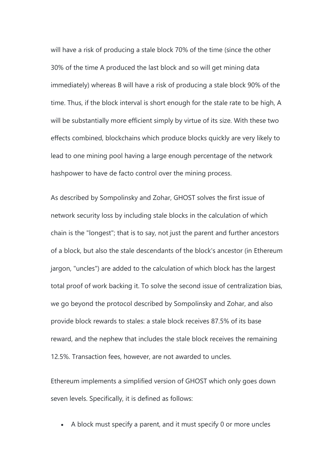will have a risk of producing a stale block 70% of the time (since the other 30% of the time A produced the last block and so will get mining data immediately) whereas B will have a risk of producing a stale block 90% of the time. Thus, if the block interval is short enough for the stale rate to be high, A will be substantially more efficient simply by virtue of its size. With these two effects combined, blockchains which produce blocks quickly are very likely to lead to one mining pool having a large enough percentage of the network hashpower to have de facto control over the mining process.

As described by Sompolinsky and Zohar, GHOST solves the first issue of network security loss by including stale blocks in the calculation of which chain is the "longest"; that is to say, not just the parent and further ancestors of a block, but also the stale descendants of the block's ancestor (in Ethereum jargon, "uncles") are added to the calculation of which block has the largest total proof of work backing it. To solve the second issue of centralization bias, we go beyond the protocol described by Sompolinsky and Zohar, and also provide block rewards to stales: a stale block receives 87.5% of its base reward, and the nephew that includes the stale block receives the remaining 12.5%. Transaction fees, however, are not awarded to uncles.

Ethereum implements a simplified version of GHOST which only goes down seven levels. Specifically, it is defined as follows:

A block must specify a parent, and it must specify 0 or more uncles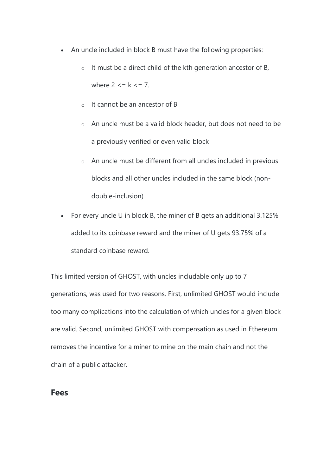- An uncle included in block B must have the following properties:
	- $\circ$  It must be a direct child of the kth generation ancestor of B, where  $2 \leq k \leq 7$ .
	- o It cannot be an ancestor of B
	- o An uncle must be a valid block header, but does not need to be a previously verified or even valid block
	- o An uncle must be different from all uncles included in previous blocks and all other uncles included in the same block (nondouble-inclusion)
- For every uncle U in block B, the miner of B gets an additional 3.125% added to its coinbase reward and the miner of U gets 93.75% of a standard coinbase reward.

This limited version of GHOST, with uncles includable only up to 7 generations, was used for two reasons. First, unlimited GHOST would include too many complications into the calculation of which uncles for a given block are valid. Second, unlimited GHOST with compensation as used in Ethereum removes the incentive for a miner to mine on the main chain and not the chain of a public attacker.

#### **Fees**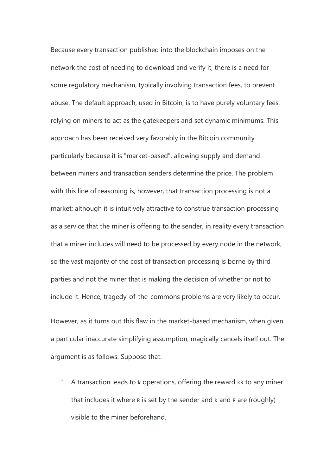Because every transaction published into the blockchain imposes on the network the cost of needing to download and verify it, there is a need for some regulatory mechanism, typically involving transaction fees, to prevent abuse. The default approach, used in Bitcoin, is to have purely voluntary fees, relying on miners to act as the gatekeepers and set dynamic minimums. This approach has been received very favorably in the Bitcoin community particularly because it is "market-based", allowing supply and demand between miners and transaction senders determine the price. The problem with this line of reasoning is, however, that transaction processing is not a market; although it is intuitively attractive to construe transaction processing as a service that the miner is offering to the sender, in reality every transaction that a miner includes will need to be processed by every node in the network, so the vast majority of the cost of transaction processing is borne by third parties and not the miner that is making the decision of whether or not to include it. Hence, tragedy-of-the-commons problems are very likely to occur.

However, as it turns out this flaw in the market-based mechanism, when given a particular inaccurate simplifying assumption, magically cancels itself out. The argument is as follows. Suppose that:

1. A transaction leads to k operations, offering the reward kR to any miner that includes it where R is set by the sender and k and R are (roughly) visible to the miner beforehand.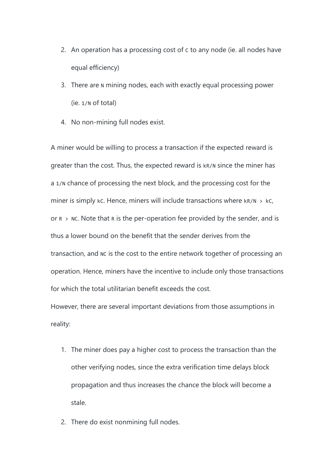- 2. An operation has a processing cost of c to any node (ie. all nodes have equal efficiency)
- 3. There are N mining nodes, each with exactly equal processing power (ie. 1/N of total)
- 4. No non-mining full nodes exist.

A miner would be willing to process a transaction if the expected reward is greater than the cost. Thus, the expected reward is kR/N since the miner has a 1/N chance of processing the next block, and the processing cost for the miner is simply kc. Hence, miners will include transactions where  $kR/N > kC$ , or  $R > NC$ . Note that R is the per-operation fee provided by the sender, and is thus a lower bound on the benefit that the sender derives from the transaction, and NC is the cost to the entire network together of processing an operation. Hence, miners have the incentive to include only those transactions for which the total utilitarian benefit exceeds the cost.

However, there are several important deviations from those assumptions in reality:

- 1. The miner does pay a higher cost to process the transaction than the other verifying nodes, since the extra verification time delays block propagation and thus increases the chance the block will become a stale.
- 2. There do exist nonmining full nodes.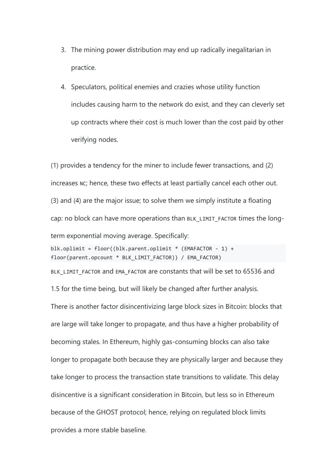- 3. The mining power distribution may end up radically inegalitarian in practice.
- 4. Speculators, political enemies and crazies whose utility function includes causing harm to the network do exist, and they can cleverly set up contracts where their cost is much lower than the cost paid by other verifying nodes.

(1) provides a tendency for the miner to include fewer transactions, and (2) increases NC; hence, these two effects at least partially cancel each other out. (3) and (4) are the major issue; to solve them we simply institute a floating cap: no block can have more operations than BLK\_LIMIT\_FACTOR times the longterm exponential moving average. Specifically:

blk.oplimit = floor((blk.parent.oplimit \* (EMAFACTOR - 1) + floor(parent.opcount \* BLK\_LIMIT\_FACTOR)) / EMA\_FACTOR)

BLK\_LIMIT\_FACTOR and EMA\_FACTOR are constants that will be set to 65536 and 1.5 for the time being, but will likely be changed after further analysis.

There is another factor disincentivizing large block sizes in Bitcoin: blocks that are large will take longer to propagate, and thus have a higher probability of becoming stales. In Ethereum, highly gas-consuming blocks can also take longer to propagate both because they are physically larger and because they take longer to process the transaction state transitions to validate. This delay disincentive is a significant consideration in Bitcoin, but less so in Ethereum because of the GHOST protocol; hence, relying on regulated block limits provides a more stable baseline.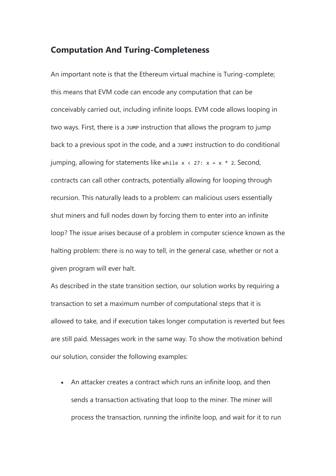#### **Computation And Turing-Completeness**

An important note is that the Ethereum virtual machine is Turing-complete; this means that EVM code can encode any computation that can be conceivably carried out, including infinite loops. EVM code allows looping in two ways. First, there is a JUMP instruction that allows the program to jump back to a previous spot in the code, and a JUMPI instruction to do conditional jumping, allowing for statements like while  $x \times 27$ :  $x = x * 2$ . Second, contracts can call other contracts, potentially allowing for looping through recursion. This naturally leads to a problem: can malicious users essentially shut miners and full nodes down by forcing them to enter into an infinite loop? The issue arises because of a problem in computer science known as the halting problem: there is no way to tell, in the general case, whether or not a given program will ever halt.

As described in the state transition section, our solution works by requiring a transaction to set a maximum number of computational steps that it is allowed to take, and if execution takes longer computation is reverted but fees are still paid. Messages work in the same way. To show the motivation behind our solution, consider the following examples:

• An attacker creates a contract which runs an infinite loop, and then sends a transaction activating that loop to the miner. The miner will process the transaction, running the infinite loop, and wait for it to run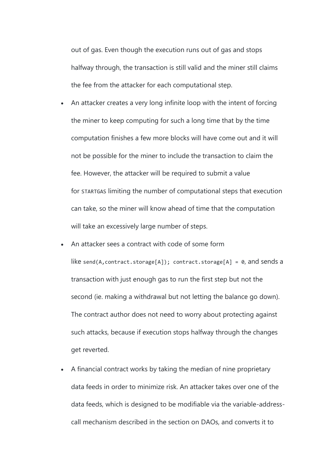out of gas. Even though the execution runs out of gas and stops halfway through, the transaction is still valid and the miner still claims the fee from the attacker for each computational step.

- An attacker creates a very long infinite loop with the intent of forcing the miner to keep computing for such a long time that by the time computation finishes a few more blocks will have come out and it will not be possible for the miner to include the transaction to claim the fee. However, the attacker will be required to submit a value for STARTGAS limiting the number of computational steps that execution can take, so the miner will know ahead of time that the computation will take an excessively large number of steps.
- An attacker sees a contract with code of some form

like send(A, contract.storage[A]); contract.storage[A] =  $\theta$ , and sends a transaction with just enough gas to run the first step but not the second (ie. making a withdrawal but not letting the balance go down). The contract author does not need to worry about protecting against such attacks, because if execution stops halfway through the changes get reverted.

 A financial contract works by taking the median of nine proprietary data feeds in order to minimize risk. An attacker takes over one of the data feeds, which is designed to be modifiable via the variable-addresscall mechanism described in the section on DAOs, and converts it to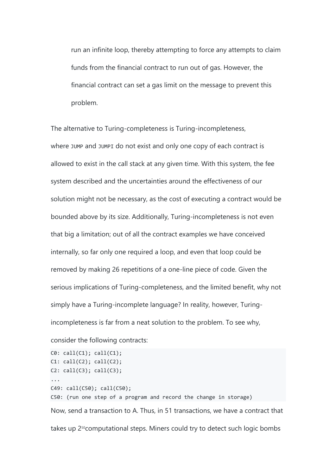run an infinite loop, thereby attempting to force any attempts to claim funds from the financial contract to run out of gas. However, the financial contract can set a gas limit on the message to prevent this problem.

The alternative to Turing-completeness is Turing-incompleteness, where JUMP and JUMPI do not exist and only one copy of each contract is allowed to exist in the call stack at any given time. With this system, the fee system described and the uncertainties around the effectiveness of our solution might not be necessary, as the cost of executing a contract would be bounded above by its size. Additionally, Turing-incompleteness is not even that big a limitation; out of all the contract examples we have conceived internally, so far only one required a loop, and even that loop could be removed by making 26 repetitions of a one-line piece of code. Given the serious implications of Turing-completeness, and the limited benefit, why not simply have a Turing-incomplete language? In reality, however, Turingincompleteness is far from a neat solution to the problem. To see why,

```
consider the following contracts:
```

```
C0: call(C1); call(C1);
C1: \text{call}(C2); \text{call}(C2);C2: \text{call}(C3); \text{call}(C3);...
C49: call(C50); call(C50);
C50: (run one step of a program and record the change in storage)
Now, send a transaction to A. Thus, in 51 transactions, we have a contract that 
takes up 250computational steps. Miners could try to detect such logic bombs
```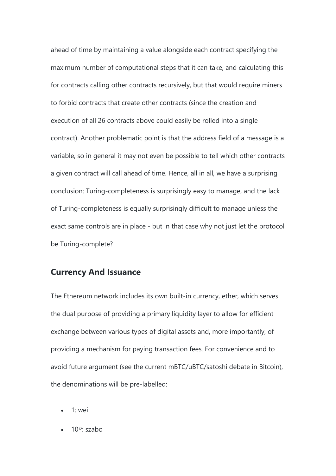ahead of time by maintaining a value alongside each contract specifying the maximum number of computational steps that it can take, and calculating this for contracts calling other contracts recursively, but that would require miners to forbid contracts that create other contracts (since the creation and execution of all 26 contracts above could easily be rolled into a single contract). Another problematic point is that the address field of a message is a variable, so in general it may not even be possible to tell which other contracts a given contract will call ahead of time. Hence, all in all, we have a surprising conclusion: Turing-completeness is surprisingly easy to manage, and the lack of Turing-completeness is equally surprisingly difficult to manage unless the exact same controls are in place - but in that case why not just let the protocol be Turing-complete?

#### **Currency And Issuance**

The Ethereum network includes its own built-in currency, ether, which serves the dual purpose of providing a primary liquidity layer to allow for efficient exchange between various types of digital assets and, more importantly, of providing a mechanism for paying transaction fees. For convenience and to avoid future argument (see the current mBTC/uBTC/satoshi debate in Bitcoin), the denominations will be pre-labelled:

- $\bullet$  1: wei
- $\bullet$  10<sup>12</sup> szabo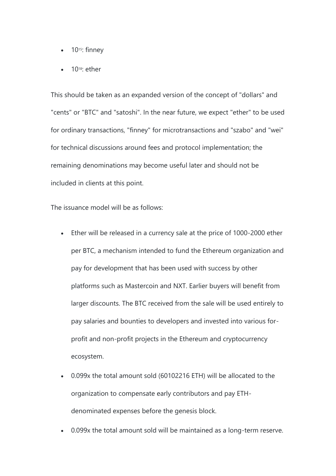- $\bullet$  10<sup>15</sup>: finney
- $\bullet$  10<sup>18</sup>: ether

This should be taken as an expanded version of the concept of "dollars" and "cents" or "BTC" and "satoshi". In the near future, we expect "ether" to be used for ordinary transactions, "finney" for microtransactions and "szabo" and "wei" for technical discussions around fees and protocol implementation; the remaining denominations may become useful later and should not be included in clients at this point.

The issuance model will be as follows:

- Ether will be released in a currency sale at the price of 1000-2000 ether per BTC, a mechanism intended to fund the Ethereum organization and pay for development that has been used with success by other platforms such as Mastercoin and NXT. Earlier buyers will benefit from larger discounts. The BTC received from the sale will be used entirely to pay salaries and bounties to developers and invested into various forprofit and non-profit projects in the Ethereum and cryptocurrency ecosystem.
- 0.099x the total amount sold (60102216 ETH) will be allocated to the organization to compensate early contributors and pay ETHdenominated expenses before the genesis block.
- 0.099x the total amount sold will be maintained as a long-term reserve.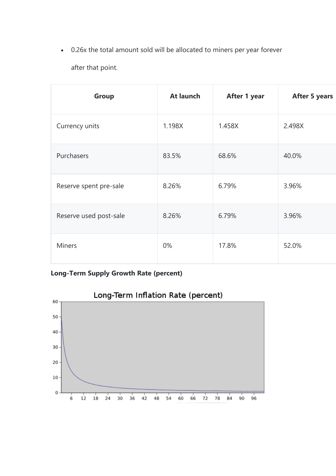0.26x the total amount sold will be allocated to miners per year forever after that point.

| Group                  | At launch | After 1 year | <b>After 5 years</b> |
|------------------------|-----------|--------------|----------------------|
| Currency units         | 1.198X    | 1.458X       | 2.498X               |
| Purchasers             | 83.5%     | 68.6%        | 40.0%                |
| Reserve spent pre-sale | 8.26%     | 6.79%        | 3.96%                |
| Reserve used post-sale | 8.26%     | 6.79%        | 3.96%                |
| <b>Miners</b>          | 0%        | 17.8%        | 52.0%                |

## **Long-Term Supply Growth Rate (percent)**

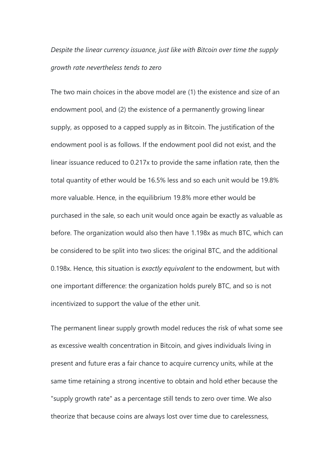*Despite the linear currency issuance, just like with Bitcoin over time the supply growth rate nevertheless tends to zero*

The two main choices in the above model are (1) the existence and size of an endowment pool, and (2) the existence of a permanently growing linear supply, as opposed to a capped supply as in Bitcoin. The justification of the endowment pool is as follows. If the endowment pool did not exist, and the linear issuance reduced to 0.217x to provide the same inflation rate, then the total quantity of ether would be 16.5% less and so each unit would be 19.8% more valuable. Hence, in the equilibrium 19.8% more ether would be purchased in the sale, so each unit would once again be exactly as valuable as before. The organization would also then have 1.198x as much BTC, which can be considered to be split into two slices: the original BTC, and the additional 0.198x. Hence, this situation is *exactly equivalent* to the endowment, but with one important difference: the organization holds purely BTC, and so is not incentivized to support the value of the ether unit.

The permanent linear supply growth model reduces the risk of what some see as excessive wealth concentration in Bitcoin, and gives individuals living in present and future eras a fair chance to acquire currency units, while at the same time retaining a strong incentive to obtain and hold ether because the "supply growth rate" as a percentage still tends to zero over time. We also theorize that because coins are always lost over time due to carelessness,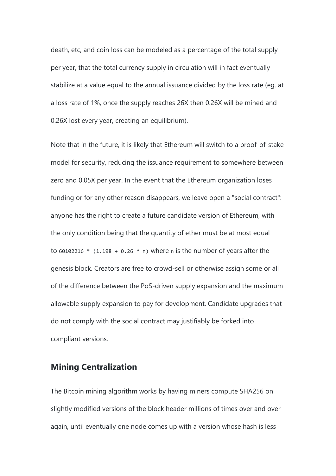death, etc, and coin loss can be modeled as a percentage of the total supply per year, that the total currency supply in circulation will in fact eventually stabilize at a value equal to the annual issuance divided by the loss rate (eg. at a loss rate of 1%, once the supply reaches 26X then 0.26X will be mined and 0.26X lost every year, creating an equilibrium).

Note that in the future, it is likely that Ethereum will switch to a proof-of-stake model for security, reducing the issuance requirement to somewhere between zero and 0.05X per year. In the event that the Ethereum organization loses funding or for any other reason disappears, we leave open a "social contract": anyone has the right to create a future candidate version of Ethereum, with the only condition being that the quantity of ether must be at most equal to 60102216  $*$  (1.198 + 0.26  $*$  n) where n is the number of years after the genesis block. Creators are free to crowd-sell or otherwise assign some or all of the difference between the PoS-driven supply expansion and the maximum allowable supply expansion to pay for development. Candidate upgrades that do not comply with the social contract may justifiably be forked into compliant versions.

### **Mining Centralization**

The Bitcoin mining algorithm works by having miners compute SHA256 on slightly modified versions of the block header millions of times over and over again, until eventually one node comes up with a version whose hash is less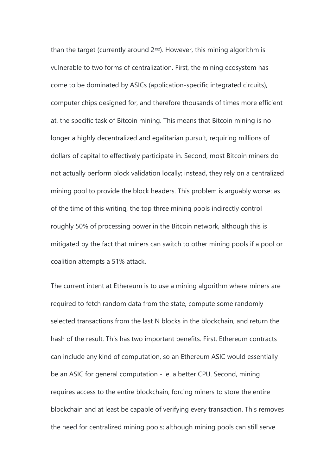than the target (currently around  $2^{192}$ ). However, this mining algorithm is vulnerable to two forms of centralization. First, the mining ecosystem has come to be dominated by ASICs (application-specific integrated circuits), computer chips designed for, and therefore thousands of times more efficient at, the specific task of Bitcoin mining. This means that Bitcoin mining is no longer a highly decentralized and egalitarian pursuit, requiring millions of dollars of capital to effectively participate in. Second, most Bitcoin miners do not actually perform block validation locally; instead, they rely on a centralized mining pool to provide the block headers. This problem is arguably worse: as of the time of this writing, the top three mining pools indirectly control roughly 50% of processing power in the Bitcoin network, although this is mitigated by the fact that miners can switch to other mining pools if a pool or coalition attempts a 51% attack.

The current intent at Ethereum is to use a mining algorithm where miners are required to fetch random data from the state, compute some randomly selected transactions from the last N blocks in the blockchain, and return the hash of the result. This has two important benefits. First, Ethereum contracts can include any kind of computation, so an Ethereum ASIC would essentially be an ASIC for general computation - ie. a better CPU. Second, mining requires access to the entire blockchain, forcing miners to store the entire blockchain and at least be capable of verifying every transaction. This removes the need for centralized mining pools; although mining pools can still serve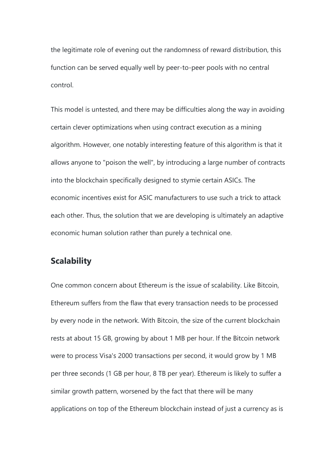the legitimate role of evening out the randomness of reward distribution, this function can be served equally well by peer-to-peer pools with no central control.

This model is untested, and there may be difficulties along the way in avoiding certain clever optimizations when using contract execution as a mining algorithm. However, one notably interesting feature of this algorithm is that it allows anyone to "poison the well", by introducing a large number of contracts into the blockchain specifically designed to stymie certain ASICs. The economic incentives exist for ASIC manufacturers to use such a trick to attack each other. Thus, the solution that we are developing is ultimately an adaptive economic human solution rather than purely a technical one.

#### **Scalability**

One common concern about Ethereum is the issue of scalability. Like Bitcoin, Ethereum suffers from the flaw that every transaction needs to be processed by every node in the network. With Bitcoin, the size of the current blockchain rests at about 15 GB, growing by about 1 MB per hour. If the Bitcoin network were to process Visa's 2000 transactions per second, it would grow by 1 MB per three seconds (1 GB per hour, 8 TB per year). Ethereum is likely to suffer a similar growth pattern, worsened by the fact that there will be many applications on top of the Ethereum blockchain instead of just a currency as is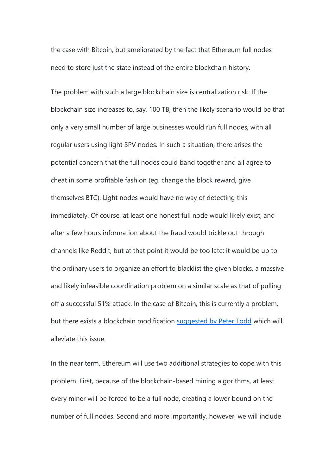the case with Bitcoin, but ameliorated by the fact that Ethereum full nodes need to store just the state instead of the entire blockchain history.

The problem with such a large blockchain size is centralization risk. If the blockchain size increases to, say, 100 TB, then the likely scenario would be that only a very small number of large businesses would run full nodes, with all regular users using light SPV nodes. In such a situation, there arises the potential concern that the full nodes could band together and all agree to cheat in some profitable fashion (eg. change the block reward, give themselves BTC). Light nodes would have no way of detecting this immediately. Of course, at least one honest full node would likely exist, and after a few hours information about the fraud would trickle out through channels like Reddit, but at that point it would be too late: it would be up to the ordinary users to organize an effort to blacklist the given blocks, a massive and likely infeasible coordination problem on a similar scale as that of pulling off a successful 51% attack. In the case of Bitcoin, this is currently a problem, but there exists a blockchain modification [suggested by Peter Todd](https://web.archive.org/web/20140623061815/http:/sourceforge.net/p/bitcoin/mailman/message/31709140/) which will alleviate this issue.

In the near term, Ethereum will use two additional strategies to cope with this problem. First, because of the blockchain-based mining algorithms, at least every miner will be forced to be a full node, creating a lower bound on the number of full nodes. Second and more importantly, however, we will include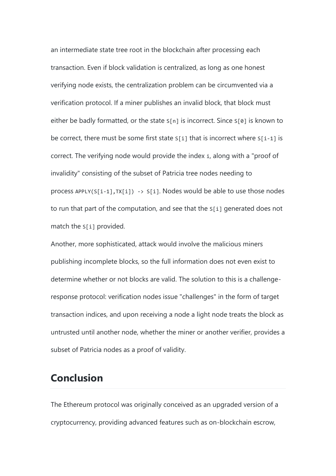an intermediate state tree root in the blockchain after processing each transaction. Even if block validation is centralized, as long as one honest verifying node exists, the centralization problem can be circumvented via a verification protocol. If a miner publishes an invalid block, that block must either be badly formatted, or the state  $S[n]$  is incorrect. Since  $S[0]$  is known to be correct, there must be some first state  $S[i]$  that is incorrect where  $S[i-1]$  is correct. The verifying node would provide the index i, along with a "proof of invalidity" consisting of the subset of Patricia tree nodes needing to process APPLY(S[i-1],TX[i]) -> S[i]. Nodes would be able to use those nodes to run that part of the computation, and see that the S[i] generated does not match the S[i] provided.

Another, more sophisticated, attack would involve the malicious miners publishing incomplete blocks, so the full information does not even exist to determine whether or not blocks are valid. The solution to this is a challengeresponse protocol: verification nodes issue "challenges" in the form of target transaction indices, and upon receiving a node a light node treats the block as untrusted until another node, whether the miner or another verifier, provides a subset of Patricia nodes as a proof of validity.

# **Conclusion**

The Ethereum protocol was originally conceived as an upgraded version of a cryptocurrency, providing advanced features such as on-blockchain escrow,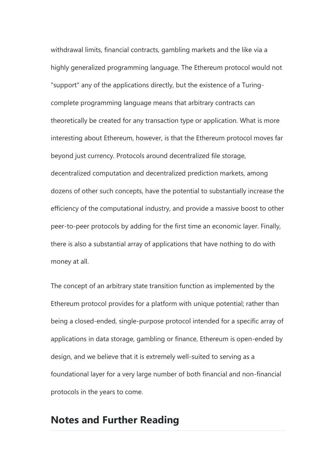withdrawal limits, financial contracts, gambling markets and the like via a highly generalized programming language. The Ethereum protocol would not "support" any of the applications directly, but the existence of a Turingcomplete programming language means that arbitrary contracts can theoretically be created for any transaction type or application. What is more interesting about Ethereum, however, is that the Ethereum protocol moves far beyond just currency. Protocols around decentralized file storage, decentralized computation and decentralized prediction markets, among dozens of other such concepts, have the potential to substantially increase the efficiency of the computational industry, and provide a massive boost to other peer-to-peer protocols by adding for the first time an economic layer. Finally, there is also a substantial array of applications that have nothing to do with money at all.

The concept of an arbitrary state transition function as implemented by the Ethereum protocol provides for a platform with unique potential; rather than being a closed-ended, single-purpose protocol intended for a specific array of applications in data storage, gambling or finance, Ethereum is open-ended by design, and we believe that it is extremely well-suited to serving as a foundational layer for a very large number of both financial and non-financial protocols in the years to come.

# **Notes and Further Reading**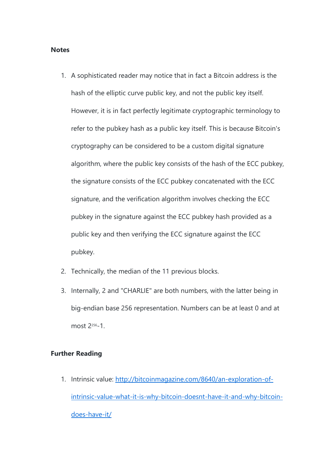#### **Notes**

- 1. A sophisticated reader may notice that in fact a Bitcoin address is the hash of the elliptic curve public key, and not the public key itself. However, it is in fact perfectly legitimate cryptographic terminology to refer to the pubkey hash as a public key itself. This is because Bitcoin's cryptography can be considered to be a custom digital signature algorithm, where the public key consists of the hash of the ECC pubkey, the signature consists of the ECC pubkey concatenated with the ECC signature, and the verification algorithm involves checking the ECC pubkey in the signature against the ECC pubkey hash provided as a public key and then verifying the ECC signature against the ECC pubkey.
- 2. Technically, the median of the 11 previous blocks.
- 3. Internally, 2 and "CHARLIE" are both numbers, with the latter being in big-endian base 256 representation. Numbers can be at least 0 and at most 2256-1.

#### **Further Reading**

1. Intrinsic value: [http://bitcoinmagazine.com/8640/an-exploration-of](http://bitcoinmagazine.com/8640/an-exploration-of-intrinsic-value-what-it-is-why-bitcoin-doesnt-have-it-and-why-bitcoin-does-have-it/)[intrinsic-value-what-it-is-why-bitcoin-doesnt-have-it-and-why-bitcoin](http://bitcoinmagazine.com/8640/an-exploration-of-intrinsic-value-what-it-is-why-bitcoin-doesnt-have-it-and-why-bitcoin-does-have-it/)[does-have-it/](http://bitcoinmagazine.com/8640/an-exploration-of-intrinsic-value-what-it-is-why-bitcoin-doesnt-have-it-and-why-bitcoin-does-have-it/)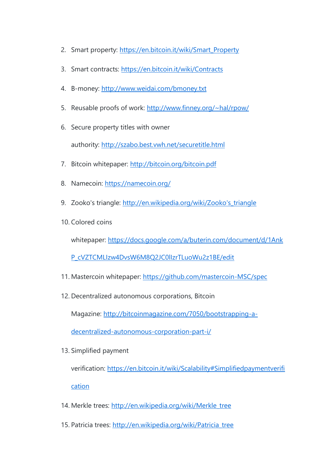- 2. Smart property: [https://en.bitcoin.it/wiki/Smart\\_Property](https://en.bitcoin.it/wiki/Smart_Property)
- 3. Smart contracts: <https://en.bitcoin.it/wiki/Contracts>
- 4. B-money: <http://www.weidai.com/bmoney.txt>
- 5. Reusable proofs of work: <http://www.finney.org/~hal/rpow/>
- 6. Secure property titles with owner authority: <http://szabo.best.vwh.net/securetitle.html>
- 7. Bitcoin whitepaper: <http://bitcoin.org/bitcoin.pdf>
- 8. Namecoin: <https://namecoin.org/>
- 9. Zooko's triangle: http://en.wikipedia.org/wiki/Zooko's triangle
- 10. Colored coins

whitepaper: [https://docs.google.com/a/buterin.com/document/d/1Ank](https://docs.google.com/a/buterin.com/document/d/1AnkP_cVZTCMLIzw4DvsW6M8Q2JC0lIzrTLuoWu2z1BE/edit)

[P\\_cVZTCMLIzw4DvsW6M8Q2JC0lIzrTLuoWu2z1BE/edit](https://docs.google.com/a/buterin.com/document/d/1AnkP_cVZTCMLIzw4DvsW6M8Q2JC0lIzrTLuoWu2z1BE/edit)

- 11. Mastercoin whitepaper: <https://github.com/mastercoin-MSC/spec>
- 12. Decentralized autonomous corporations, Bitcoin

Magazine: [http://bitcoinmagazine.com/7050/bootstrapping-a-](http://bitcoinmagazine.com/7050/bootstrapping-a-decentralized-autonomous-corporation-part-i/)

[decentralized-autonomous-corporation-part-i/](http://bitcoinmagazine.com/7050/bootstrapping-a-decentralized-autonomous-corporation-part-i/)

13. Simplified payment

verification: [https://en.bitcoin.it/wiki/Scalability#Simplifiedpaymentverifi](https://en.bitcoin.it/wiki/Scalability#Simplifiedpaymentverification) [cation](https://en.bitcoin.it/wiki/Scalability#Simplifiedpaymentverification)

- 14. Merkle trees: [http://en.wikipedia.org/wiki/Merkle\\_tree](http://en.wikipedia.org/wiki/Merkle_tree)
- 15. Patricia trees: [http://en.wikipedia.org/wiki/Patricia\\_tree](http://en.wikipedia.org/wiki/Patricia_tree)